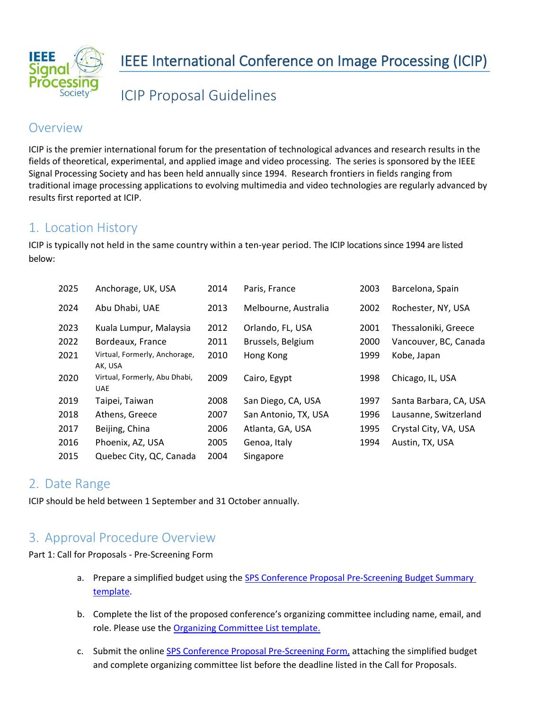

ICIP Proposal Guidelines

### **Overview**

ICIP is the premier international forum for the presentation of technological advances and research results in the fields of theoretical, experimental, and applied image and video processing. The series is sponsored by the IEEE Signal Processing Society and has been held annually since 1994. Research frontiers in fields ranging from traditional image processing applications to evolving multimedia and video technologies are regularly advanced by results first reported at ICIP.

# 1. Location History

ICIP is typically not held in the same country within a ten-year period. The ICIP locations since 1994 are listed below:

| 2025 | Anchorage, UK, USA                          | 2014 | Paris, France        | 2003 | Barcelona, Spain       |
|------|---------------------------------------------|------|----------------------|------|------------------------|
| 2024 | Abu Dhabi, UAE                              | 2013 | Melbourne, Australia | 2002 | Rochester, NY, USA     |
| 2023 | Kuala Lumpur, Malaysia                      | 2012 | Orlando, FL, USA     | 2001 | Thessaloniki, Greece   |
| 2022 | Bordeaux, France                            | 2011 | Brussels, Belgium    | 2000 | Vancouver, BC, Canada  |
| 2021 | Virtual, Formerly, Anchorage,<br>AK, USA    | 2010 | Hong Kong            | 1999 | Kobe, Japan            |
| 2020 | Virtual, Formerly, Abu Dhabi,<br><b>UAE</b> | 2009 | Cairo, Egypt         | 1998 | Chicago, IL, USA       |
| 2019 | Taipei, Taiwan                              | 2008 | San Diego, CA, USA   | 1997 | Santa Barbara, CA, USA |
| 2018 | Athens, Greece                              | 2007 | San Antonio, TX, USA | 1996 | Lausanne, Switzerland  |
| 2017 | Beijing, China                              | 2006 | Atlanta, GA, USA     | 1995 | Crystal City, VA, USA  |
| 2016 | Phoenix, AZ, USA                            | 2005 | Genoa, Italy         | 1994 | Austin, TX, USA        |
| 2015 | Quebec City, QC, Canada                     | 2004 | Singapore            |      |                        |

# 2. Date Range

ICIP should be held between 1 September and 31 October annually.

### 3. Approval Procedure Overview

Part 1: Call for Proposals - Pre-Screening Form

- a. Prepare a simplified budget using the SPS Conference Proposal Pre-Screening Budget Summary [template.](https://signalprocessingsociety.org/sites/default/files/uploads/conferences_events/docs/SPS_NEW_Budget_form_Proposal_PreScreening.xlsx)
- b. Complete the list of the proposed conference's organizing committee including name, email, and role. Please use th[e Organizing Committee List template.](https://signalprocessingsociety.org/sites/default/files/uploads/conferences_events/docs/SPS_Organizing_Committee_List.xlsx)
- c. Submit the online [SPS Conference Proposal Pre-Screening Form,](https://app.smartsheet.com/b/form/0bd7e1a078874aadacebb0772ef67c81) attaching the simplified budget and complete organizing committee list before the deadline listed in the Call for Proposals.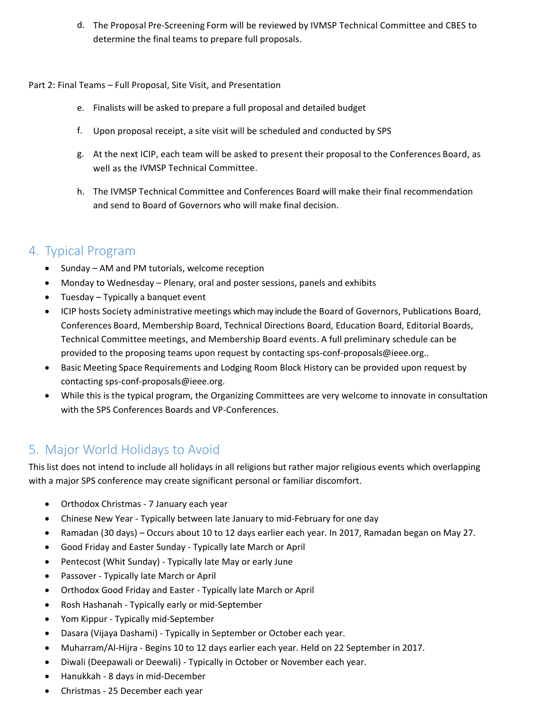d. The Proposal Pre-Screening Form will be reviewed by IVMSP Technical Committee and CBES to determine the final teams to prepare full proposals.

#### Part 2: Final Teams – Full Proposal, Site Visit, and Presentation

- e. Finalists will be asked to prepare a full proposal and detailed budget
- f. Upon proposal receipt, a site visit will be scheduled and conducted by SPS
- g. At the next ICIP, each team will be asked to present their proposal to the Conferences Board, as well as the IVMSP Technical Committee.
- h. The IVMSP Technical Committee and Conferences Board will make their final recommendation and send to Board of Governors who will make final decision.

# 4. Typical Program

- Sunday AM and PM tutorials, welcome reception
- Monday to Wednesday Plenary, oral and poster sessions, panels and exhibits
- Tuesday Typically a banquet event
- ICIP hosts Society administrative meetings which may include the Board of Governors, Publications Board, Conferences Board, Membership Board, Technical Directions Board, Education Board, Editorial Boards, Technical Committee meetings, and Membership Board events. A full preliminary schedule can be provided to the proposing teams upon request by contacting [sps-conf-proposals@ieee.org.](mailto:sps-conf-proposals@ieee.org).
- Basic Meeting Space Requirements and Lodging Room Block History can be provided upon request by contacting [sps-conf-proposals@ieee.org.](mailto:sps-conf-proposals@ieee.org)
- While this is the typical program, the Organizing Committees are very welcome to innovate in consultation with the SPS Conferences Boards and VP-Conferences.

# 5. Major World Holidays to Avoid

This list does not intend to include all holidays in all religions but rather major religious events which overlapping with a major SPS conference may create significant personal or familiar discomfort.

- Orthodox Christmas 7 January each year
- Chinese New Year Typically between late January to mid-February for one day
- Ramadan (30 days) Occurs about 10 to 12 days earlier each year. In 2017, Ramadan began on May 27.
- Good Friday and Easter Sunday Typically late March or April
- Pentecost (Whit Sunday) Typically late May or early June
- Passover Typically late March or April
- Orthodox Good Friday and Easter Typically late March or April
- Rosh Hashanah Typically early or mid-September
- Yom Kippur Typically mid-September
- Dasara (Vijaya Dashami) Typically in September or October each year.
- Muharram/Al-Hijra Begins 10 to 12 days earlier each year. Held on 22 September in 2017.
- Diwali (Deepawali or Deewali) Typically in October or November each year.
- Hanukkah 8 days in mid-December
- Christmas 25 December each year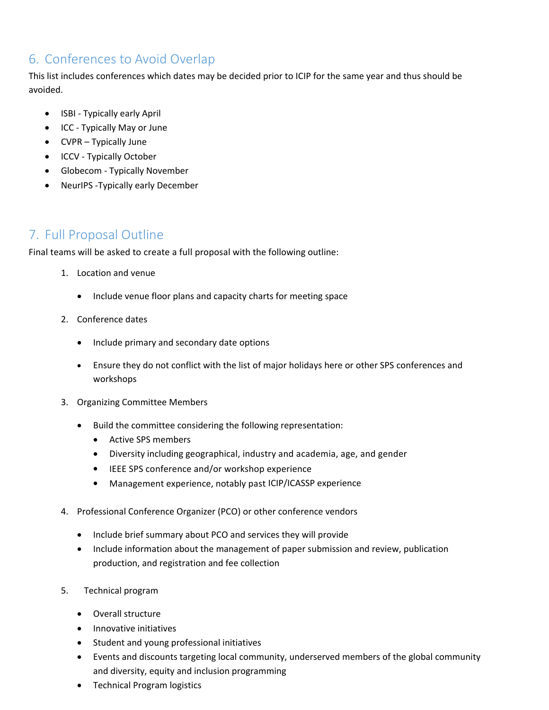# 6. Conferences to Avoid Overlap

This list includes conferences which dates may be decided prior to ICIP for the same year and thus should be avoided.

- ISBI Typically early April
- ICC Typically May or June
- CVPR Typically June
- ICCV Typically October
- Globecom Typically November
- NeurIPS -Typically early December

### 7. Full Proposal Outline

Final teams will be asked to create a full proposal with the following outline:

- 1. Location and venue
	- Include venue floor plans and capacity charts for meeting space
- 2. Conference dates
	- Include primary and secondary date options
	- Ensure they do not conflict with the list of major holidays here or other SPS conferences and workshops
- 3. Organizing Committee Members
	- Build the committee considering the following representation:
		- Active SPS members
		- Diversity including geographical, industry and academia, age, and gender
		- IEEE SPS conference and/or workshop experience
		- Management experience, notably past ICIP/ICASSP experience
- 4. Professional Conference Organizer (PCO) or other conference vendors
	- Include brief summary about PCO and services they will provide
	- Include information about the management of paper submission and review, publication production, and registration and fee collection
- 5. Technical program
	- Overall structure
	- Innovative initiatives
	- Student and young professional initiatives
	- Events and discounts targeting local community, underserved members of the global community and diversity, equity and inclusion programming
	- Technical Program logistics